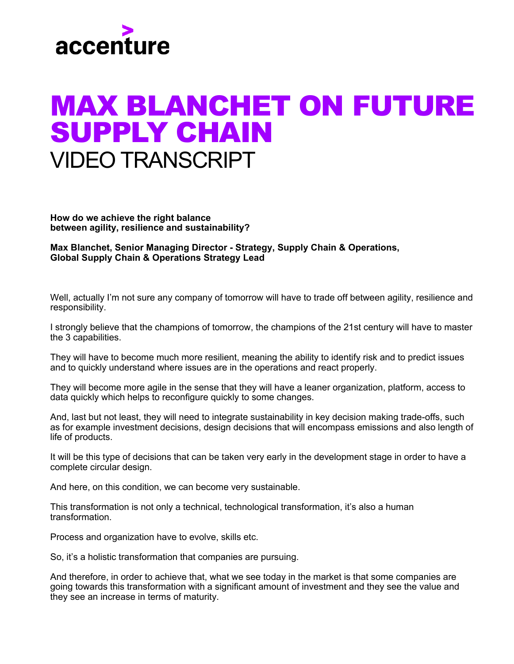

## MAX BLANCHET ON FUTURE **SUPPLY CHAIN** VIDEO TRANSCRIPT

**How do we achieve the right balance between agility, resilience and sustainability?**

**Max Blanchet, Senior Managing Director - Strategy, Supply Chain & Operations, Global Supply Chain & Operations Strategy Lead**

Well, actually I'm not sure any company of tomorrow will have to trade off between agility, resilience and responsibility.

I strongly believe that the champions of tomorrow, the champions of the 21st century will have to master the 3 capabilities.

They will have to become much more resilient, meaning the ability to identify risk and to predict issues and to quickly understand where issues are in the operations and react properly.

They will become more agile in the sense that they will have a leaner organization, platform, access to data quickly which helps to reconfigure quickly to some changes.

And, last but not least, they will need to integrate sustainability in key decision making trade-offs, such as for example investment decisions, design decisions that will encompass emissions and also length of life of products.

It will be this type of decisions that can be taken very early in the development stage in order to have a complete circular design.

And here, on this condition, we can become very sustainable.

This transformation is not only a technical, technological transformation, it's also a human transformation.

Process and organization have to evolve, skills etc.

So, it's a holistic transformation that companies are pursuing.

And therefore, in order to achieve that, what we see today in the market is that some companies are going towards this transformation with a significant amount of investment and they see the value and they see an increase in terms of maturity.